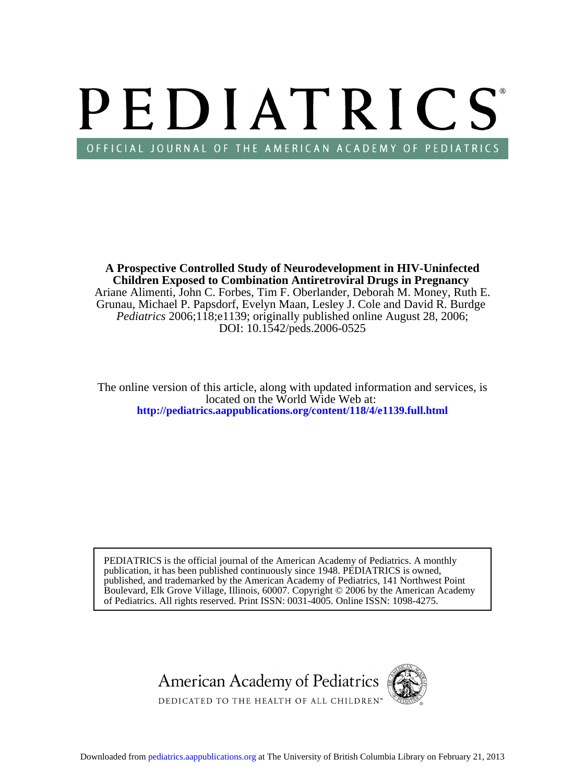# PEDIATRICS OFFICIAL JOURNAL OF THE AMERICAN ACADEMY OF PEDIATRICS

DOI: 10.1542/peds.2006-0525 *Pediatrics* 2006;118;e1139; originally published online August 28, 2006; Grunau, Michael P. Papsdorf, Evelyn Maan, Lesley J. Cole and David R. Burdge Ariane Alimenti, John C. Forbes, Tim F. Oberlander, Deborah M. Money, Ruth E. **Children Exposed to Combination Antiretroviral Drugs in Pregnancy A Prospective Controlled Study of Neurodevelopment in HIV-Uninfected**

**<http://pediatrics.aappublications.org/content/118/4/e1139.full.html>** located on the World Wide Web at: The online version of this article, along with updated information and services, is

of Pediatrics. All rights reserved. Print ISSN: 0031-4005. Online ISSN: 1098-4275. Boulevard, Elk Grove Village, Illinois, 60007. Copyright © 2006 by the American Academy published, and trademarked by the American Academy of Pediatrics, 141 Northwest Point publication, it has been published continuously since 1948. PEDIATRICS is owned, PEDIATRICS is the official journal of the American Academy of Pediatrics. A monthly

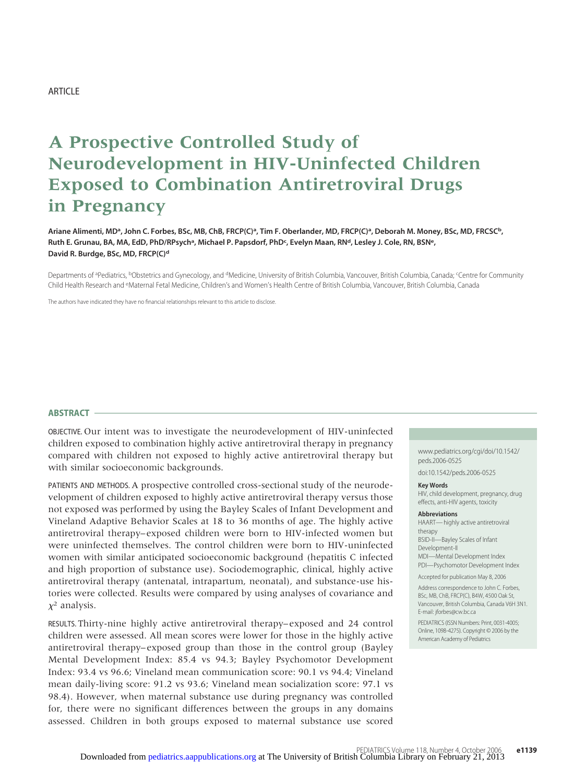#### ARTICLE

## **A Prospective Controlled Study of Neurodevelopment in HIV-Uninfected Children Exposed to Combination Antiretroviral Drugs in Pregnancy**

Ariane Alimenti, MD<sup>a</sup>, John C. Forbes, BSc, MB, ChB, FRCP(C)<sup>a</sup>, Tim F. Oberlander, MD, FRCP(C)<sup>a</sup>, Deborah M. Money, BSc, MD, FRCSC<sup>b</sup>, Ruth E. Grunau, BA, MA, EdD, PhD/RPsych<sup>a</sup>, Michael P. Papsdorf, PhD<sup>c</sup>, Evelyn Maan, RN<sup>d</sup>, Lesley J. Cole, RN, BSN<sup>e</sup>, **David R. Burdge, BSc, MD, FRCP(C)d**

Departments of <sup>ap</sup>ediatrics, <sup>b</sup>Obstetrics and Gynecology, and <sup>d</sup>Medicine, University of British Columbia, Vancouver, British Columbia, Canada; <sup>c</sup>Centre for Community Child Health Research and <sup>e</sup> Maternal Fetal Medicine, Children's and Women's Health Centre of British Columbia, Vancouver, British Columbia, Canada

The authors have indicated they have no financial relationships relevant to this article to disclose.

#### **ABSTRACT**

OBJECTIVE. Our intent was to investigate the neurodevelopment of HIV-uninfected children exposed to combination highly active antiretroviral therapy in pregnancy compared with children not exposed to highly active antiretroviral therapy but with similar socioeconomic backgrounds.

PATIENTS AND METHODS. A prospective controlled cross-sectional study of the neurodevelopment of children exposed to highly active antiretroviral therapy versus those not exposed was performed by using the Bayley Scales of Infant Development and Vineland Adaptive Behavior Scales at 18 to 36 months of age. The highly active antiretroviral therapy–exposed children were born to HIV-infected women but were uninfected themselves. The control children were born to HIV-uninfected women with similar anticipated socioeconomic background (hepatitis C infected and high proportion of substance use). Sociodemographic, clinical, highly active antiretroviral therapy (antenatal, intrapartum, neonatal), and substance-use histories were collected. Results were compared by using analyses of covariance and  $\chi^2$  analysis.

RESULTS. Thirty-nine highly active antiretroviral therapy–exposed and 24 control children were assessed. All mean scores were lower for those in the highly active antiretroviral therapy–exposed group than those in the control group (Bayley Mental Development Index: 85.4 vs 94.3; Bayley Psychomotor Development Index: 93.4 vs 96.6; Vineland mean communication score: 90.1 vs 94.4; Vineland mean daily-living score: 91.2 vs 93.6; Vineland mean socialization score: 97.1 vs 98.4). However, when maternal substance use during pregnancy was controlled for, there were no significant differences between the groups in any domains assessed. Children in both groups exposed to maternal substance use scored

www.pediatrics.org/cgi/doi/10.1542/ peds.2006-0525

doi:10.1542/peds.2006-0525

#### **Key Words**

HIV, child development, pregnancy, drug effects, anti-HIV agents, toxicity

#### **Abbreviations**

HAART—highly active antiretroviral therapy BSID-II—Bayley Scales of Infant

Development-II

MDI—Mental Development Index PDI—Psychomotor Development Index

Accepted for publication May 8, 2006

Address correspondence to John C. Forbes, BSc, MB, ChB, FRCP(C), B4W, 4500 Oak St, Vancouver, British Columbia, Canada V6H 3N1. E-mail: jforbes@cw.bc.ca

PEDIATRICS (ISSN Numbers: Print, 0031-4005; Online, 1098-4275). Copyright © 2006 by the American Academy of Pediatrics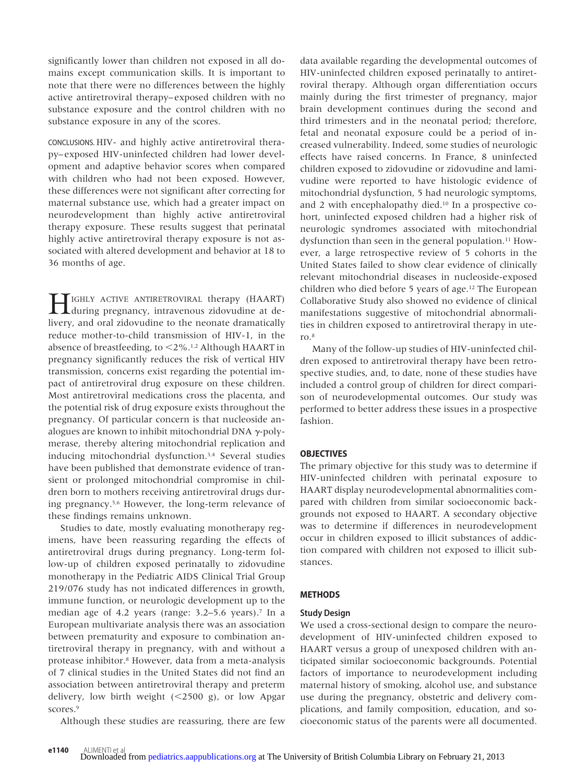significantly lower than children not exposed in all domains except communication skills. It is important to note that there were no differences between the highly active antiretroviral therapy–exposed children with no substance exposure and the control children with no substance exposure in any of the scores.

CONCLUSIONS. HIV- and highly active antiretroviral therapy–exposed HIV-uninfected children had lower development and adaptive behavior scores when compared with children who had not been exposed. However, these differences were not significant after correcting for maternal substance use, which had a greater impact on neurodevelopment than highly active antiretroviral therapy exposure. These results suggest that perinatal highly active antiretroviral therapy exposure is not associated with altered development and behavior at 18 to 36 months of age.

HIGHLY ACTIVE ANTIRETROVIRAL therapy (HAART) during pregnancy, intravenous zidovudine at delivery, and oral zidovudine to the neonate dramatically reduce mother-to-child transmission of HIV-1, in the absence of breastfeeding, to 2%.1,2 Although HAART in pregnancy significantly reduces the risk of vertical HIV transmission, concerns exist regarding the potential impact of antiretroviral drug exposure on these children. Most antiretroviral medications cross the placenta, and the potential risk of drug exposure exists throughout the pregnancy. Of particular concern is that nucleoside analogues are known to inhibit mitochondrial DNA  $\gamma$ -polymerase, thereby altering mitochondrial replication and inducing mitochondrial dysfunction.3,4 Several studies have been published that demonstrate evidence of transient or prolonged mitochondrial compromise in children born to mothers receiving antiretroviral drugs during pregnancy.5,6 However, the long-term relevance of these findings remains unknown.

Studies to date, mostly evaluating monotherapy regimens, have been reassuring regarding the effects of antiretroviral drugs during pregnancy. Long-term follow-up of children exposed perinatally to zidovudine monotherapy in the Pediatric AIDS Clinical Trial Group 219/076 study has not indicated differences in growth, immune function, or neurologic development up to the median age of 4.2 years (range: 3.2–5.6 years).7 In a European multivariate analysis there was an association between prematurity and exposure to combination antiretroviral therapy in pregnancy, with and without a protease inhibitor.8 However, data from a meta-analysis of 7 clinical studies in the United States did not find an association between antiretroviral therapy and preterm delivery, low birth weight (2500 g), or low Apgar scores.<sup>9</sup>

Although these studies are reassuring, there are few

data available regarding the developmental outcomes of HIV-uninfected children exposed perinatally to antiretroviral therapy. Although organ differentiation occurs mainly during the first trimester of pregnancy, major brain development continues during the second and third trimesters and in the neonatal period; therefore, fetal and neonatal exposure could be a period of increased vulnerability. Indeed, some studies of neurologic effects have raised concerns. In France, 8 uninfected children exposed to zidovudine or zidovudine and lamivudine were reported to have histologic evidence of mitochondrial dysfunction, 5 had neurologic symptoms, and 2 with encephalopathy died.10 In a prospective cohort, uninfected exposed children had a higher risk of neurologic syndromes associated with mitochondrial dysfunction than seen in the general population.<sup>11</sup> However, a large retrospective review of 5 cohorts in the United States failed to show clear evidence of clinically relevant mitochondrial diseases in nucleoside-exposed children who died before 5 years of age.12 The European Collaborative Study also showed no evidence of clinical manifestations suggestive of mitochondrial abnormalities in children exposed to antiretroviral therapy in utero.8

Many of the follow-up studies of HIV-uninfected children exposed to antiretroviral therapy have been retrospective studies, and, to date, none of these studies have included a control group of children for direct comparison of neurodevelopmental outcomes. Our study was performed to better address these issues in a prospective fashion.

#### **OBJECTIVES**

The primary objective for this study was to determine if HIV-uninfected children with perinatal exposure to HAART display neurodevelopmental abnormalities compared with children from similar socioeconomic backgrounds not exposed to HAART. A secondary objective was to determine if differences in neurodevelopment occur in children exposed to illicit substances of addiction compared with children not exposed to illicit substances.

#### **METHODS**

#### **Study Design**

We used a cross-sectional design to compare the neurodevelopment of HIV-uninfected children exposed to HAART versus a group of unexposed children with anticipated similar socioeconomic backgrounds. Potential factors of importance to neurodevelopment including maternal history of smoking, alcohol use, and substance use during the pregnancy, obstetric and delivery complications, and family composition, education, and socioeconomic status of the parents were all documented.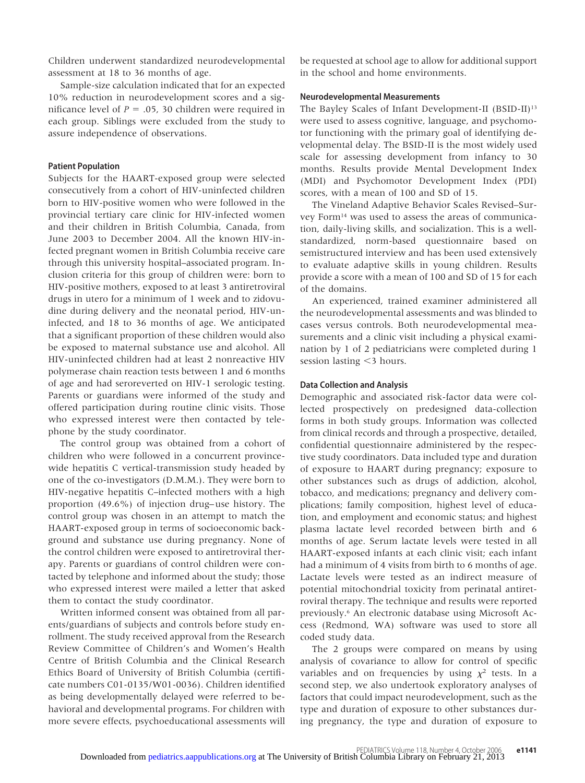Children underwent standardized neurodevelopmental assessment at 18 to 36 months of age.

Sample-size calculation indicated that for an expected 10% reduction in neurodevelopment scores and a significance level of  $P = 0.05$ , 30 children were required in each group. Siblings were excluded from the study to assure independence of observations.

#### **Patient Population**

Subjects for the HAART-exposed group were selected consecutively from a cohort of HIV-uninfected children born to HIV-positive women who were followed in the provincial tertiary care clinic for HIV-infected women and their children in British Columbia, Canada, from June 2003 to December 2004. All the known HIV-infected pregnant women in British Columbia receive care through this university hospital–associated program. Inclusion criteria for this group of children were: born to HIV-positive mothers, exposed to at least 3 antiretroviral drugs in utero for a minimum of 1 week and to zidovudine during delivery and the neonatal period, HIV-uninfected, and 18 to 36 months of age. We anticipated that a significant proportion of these children would also be exposed to maternal substance use and alcohol. All HIV-uninfected children had at least 2 nonreactive HIV polymerase chain reaction tests between 1 and 6 months of age and had seroreverted on HIV-1 serologic testing. Parents or guardians were informed of the study and offered participation during routine clinic visits. Those who expressed interest were then contacted by telephone by the study coordinator.

The control group was obtained from a cohort of children who were followed in a concurrent provincewide hepatitis C vertical-transmission study headed by one of the co-investigators (D.M.M.). They were born to HIV-negative hepatitis C–infected mothers with a high proportion (49.6%) of injection drug–use history. The control group was chosen in an attempt to match the HAART-exposed group in terms of socioeconomic background and substance use during pregnancy. None of the control children were exposed to antiretroviral therapy. Parents or guardians of control children were contacted by telephone and informed about the study; those who expressed interest were mailed a letter that asked them to contact the study coordinator.

Written informed consent was obtained from all parents/guardians of subjects and controls before study enrollment. The study received approval from the Research Review Committee of Children's and Women's Health Centre of British Columbia and the Clinical Research Ethics Board of University of British Columbia (certificate numbers C01-0135/W01-0036). Children identified as being developmentally delayed were referred to behavioral and developmental programs. For children with more severe effects, psychoeducational assessments will be requested at school age to allow for additional support in the school and home environments.

#### **Neurodevelopmental Measurements**

The Bayley Scales of Infant Development-II (BSID-II)<sup>13</sup> were used to assess cognitive, language, and psychomotor functioning with the primary goal of identifying developmental delay. The BSID-II is the most widely used scale for assessing development from infancy to 30 months. Results provide Mental Development Index (MDI) and Psychomotor Development Index (PDI) scores, with a mean of 100 and SD of 15.

The Vineland Adaptive Behavior Scales Revised–Survey Form14 was used to assess the areas of communication, daily-living skills, and socialization. This is a wellstandardized, norm-based questionnaire based on semistructured interview and has been used extensively to evaluate adaptive skills in young children. Results provide a score with a mean of 100 and SD of 15 for each of the domains.

An experienced, trained examiner administered all the neurodevelopmental assessments and was blinded to cases versus controls. Both neurodevelopmental measurements and a clinic visit including a physical examination by 1 of 2 pediatricians were completed during 1 session lasting  $<$ 3 hours.

#### **Data Collection and Analysis**

Demographic and associated risk-factor data were collected prospectively on predesigned data-collection forms in both study groups. Information was collected from clinical records and through a prospective, detailed, confidential questionnaire administered by the respective study coordinators. Data included type and duration of exposure to HAART during pregnancy; exposure to other substances such as drugs of addiction, alcohol, tobacco, and medications; pregnancy and delivery complications; family composition, highest level of education, and employment and economic status; and highest plasma lactate level recorded between birth and 6 months of age. Serum lactate levels were tested in all HAART-exposed infants at each clinic visit; each infant had a minimum of 4 visits from birth to 6 months of age. Lactate levels were tested as an indirect measure of potential mitochondrial toxicity from perinatal antiretroviral therapy. The technique and results were reported previously.6 An electronic database using Microsoft Access (Redmond, WA) software was used to store all coded study data.

The 2 groups were compared on means by using analysis of covariance to allow for control of specific variables and on frequencies by using  $\chi^2$  tests. In a second step, we also undertook exploratory analyses of factors that could impact neurodevelopment, such as the type and duration of exposure to other substances during pregnancy, the type and duration of exposure to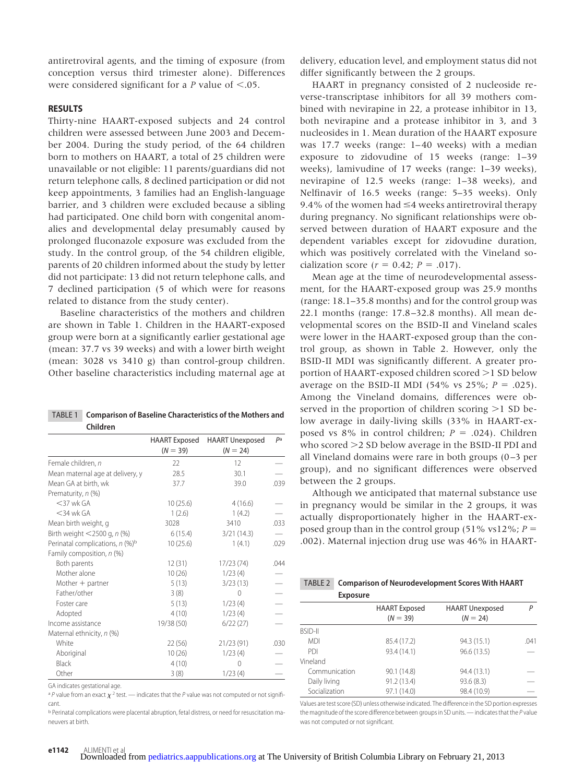antiretroviral agents, and the timing of exposure (from conception versus third trimester alone). Differences were considered significant for a  $P$  value of  $\leq$ .05.

#### **RESULTS**

Thirty-nine HAART-exposed subjects and 24 control children were assessed between June 2003 and December 2004. During the study period, of the 64 children born to mothers on HAART, a total of 25 children were unavailable or not eligible: 11 parents/guardians did not return telephone calls, 8 declined participation or did not keep appointments, 3 families had an English-language barrier, and 3 children were excluded because a sibling had participated. One child born with congenital anomalies and developmental delay presumably caused by prolonged fluconazole exposure was excluded from the study. In the control group, of the 54 children eligible, parents of 20 children informed about the study by letter did not participate: 13 did not return telephone calls, and 7 declined participation (5 of which were for reasons related to distance from the study center).

Baseline characteristics of the mothers and children are shown in Table 1. Children in the HAART-exposed group were born at a significantly earlier gestational age (mean: 37.7 vs 39 weeks) and with a lower birth weight (mean: 3028 vs 3410 g) than control-group children. Other baseline characteristics including maternal age at

| TABLE 1 Comparison of Baseline Characteristics of the Mothers and |
|-------------------------------------------------------------------|
| <b>Children</b>                                                   |

|                                             | <b>HAART</b> Exposed<br>$(N = 39)$ | <b>HAART Unexposed</b><br>$(N = 24)$ | pa   |
|---------------------------------------------|------------------------------------|--------------------------------------|------|
| Female children, n                          | 22                                 | 12                                   |      |
| Mean maternal age at delivery, y            | 28.5                               | 30.1                                 |      |
| Mean GA at birth, wk                        | 37.7                               | 39.0                                 | .039 |
| Prematurity, n (%)                          |                                    |                                      |      |
| $<$ 37 wk GA                                | 10(25.6)                           | 4(16.6)                              |      |
| $<$ 34 wk GA                                | 1(2.6)                             | 1(4.2)                               |      |
| Mean birth weight, g                        | 3028                               | 3410                                 | .033 |
| Birth weight $<$ 2500 g, n (%)              | 6(15.4)                            | 3/21(14.3)                           |      |
| Perinatal complications, n (%) <sup>b</sup> | 10(25.6)                           | 1(4.1)                               | .029 |
| Family composition, n (%)                   |                                    |                                      |      |
| Both parents                                | 12(31)                             | 17/23(74)                            | .044 |
| Mother alone                                | 10(26)                             | 1/23(4)                              |      |
| Mother $+$ partner                          | 5(13)                              | 3/23(13)                             |      |
| Father/other                                | 3(8)                               | $\Omega$                             |      |
| Foster care                                 | 5(13)                              | 1/23(4)                              |      |
| Adopted                                     | 4(10)                              | 1/23(4)                              |      |
| Income assistance                           | 19/38 (50)                         | 6/22(27)                             |      |
| Maternal ethnicity, n (%)                   |                                    |                                      |      |
| White                                       | 22(56)                             | 21/23 (91)                           | .030 |
| Aboriginal                                  | 10(26)                             | 1/23(4)                              |      |
| <b>Black</b>                                | 4(10)                              | $\Omega$                             |      |
| Other                                       | 3(8)                               | 1/23(4)                              |      |

GA indicates gestational age.

<sup>a</sup> P value from an exact  $\chi^2$  test. — indicates that the P value was not computed or not significant.

b Perinatal complications were placental abruption, fetal distress, or need for resuscitation maneuvers at birth.

delivery, education level, and employment status did not differ significantly between the 2 groups.

HAART in pregnancy consisted of 2 nucleoside reverse-transcriptase inhibitors for all 39 mothers combined with nevirapine in 22, a protease inhibitor in 13, both nevirapine and a protease inhibitor in 3, and 3 nucleosides in 1. Mean duration of the HAART exposure was 17.7 weeks (range: 1–40 weeks) with a median exposure to zidovudine of 15 weeks (range: 1–39 weeks), lamivudine of 17 weeks (range: 1–39 weeks), nevirapine of 12.5 weeks (range: 1–38 weeks), and Nelfinavir of 16.5 weeks (range: 5–35 weeks). Only 9.4% of the women had  $\leq$ 4 weeks antiretroviral therapy during pregnancy. No significant relationships were observed between duration of HAART exposure and the dependent variables except for zidovudine duration, which was positively correlated with the Vineland socialization score ( $r = 0.42; P = .017$ ).

Mean age at the time of neurodevelopmental assessment, for the HAART-exposed group was 25.9 months (range: 18.1–35.8 months) and for the control group was 22.1 months (range: 17.8–32.8 months). All mean developmental scores on the BSID-II and Vineland scales were lower in the HAART-exposed group than the control group, as shown in Table 2. However, only the BSID-II MDI was significantly different. A greater proportion of HAART-exposed children scored  $>1$  SD below average on the BSID-II MDI  $(54\% \text{ vs } 25\%; P = .025)$ . Among the Vineland domains, differences were observed in the proportion of children scoring  $>1$  SD below average in daily-living skills (33% in HAART-exposed vs  $8\%$  in control children;  $P = .024$ ). Children who scored  $>$ 2 SD below average in the BSID-II PDI and all Vineland domains were rare in both groups (0–3 per group), and no significant differences were observed between the 2 groups.

Although we anticipated that maternal substance use in pregnancy would be similar in the 2 groups, it was actually disproportionately higher in the HAART-exposed group than in the control group  $(51\% \text{ vs } 12\%); P =$ .002). Maternal injection drug use was 46% in HAART-

| TABLE 2 Comparison of Neurodevelopment Scores With HAART |
|----------------------------------------------------------|
| Exposure                                                 |

| <b>HAART</b> Exposed<br>$(N = 39)$ | <b>HAART Unexposed</b><br>$(N = 24)$ | D    |
|------------------------------------|--------------------------------------|------|
|                                    |                                      |      |
| 85.4 (17.2)                        | 94.3 (15.1)                          | .041 |
| 93.4 (14.1)                        | 96.6(13.5)                           |      |
|                                    |                                      |      |
| 90.1 (14.8)                        | 94.4 (13.1)                          |      |
| 91.2 (13.4)                        | 93.6(8.3)                            |      |
| 97.1 (14.0)                        | 98.4 (10.9)                          |      |
|                                    |                                      |      |

Values are test score (SD) unless otherwise indicated. The difference in the SD portion expresses the magnitude of the score difference between groups in SD units.  $-$  indicates that the P value was not computed or not significant.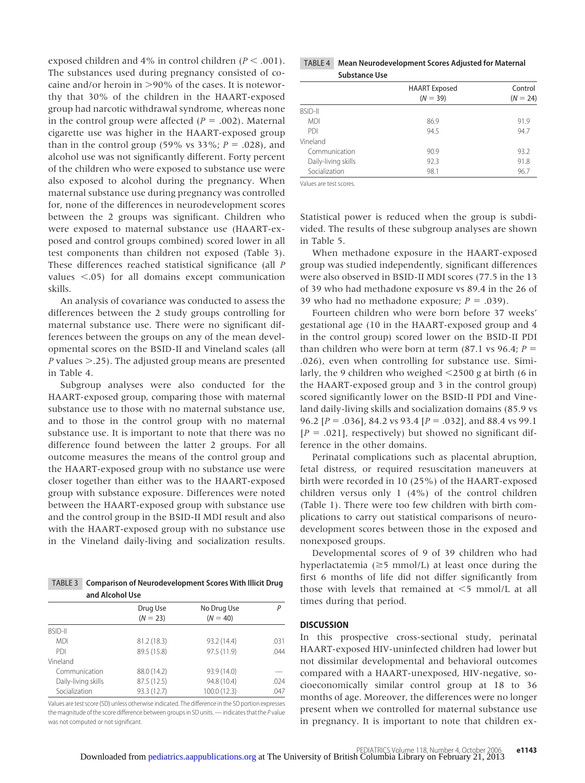exposed children and 4% in control children  $(P < .001)$ . The substances used during pregnancy consisted of cocaine and/or heroin in >90% of the cases. It is noteworthy that 30% of the children in the HAART-exposed group had narcotic withdrawal syndrome, whereas none in the control group were affected  $(P = .002)$ . Maternal cigarette use was higher in the HAART-exposed group than in the control group (59% vs 33%;  $P = .028$ ), and alcohol use was not significantly different. Forty percent of the children who were exposed to substance use were also exposed to alcohol during the pregnancy. When maternal substance use during pregnancy was controlled for, none of the differences in neurodevelopment scores between the 2 groups was significant. Children who were exposed to maternal substance use (HAART-exposed and control groups combined) scored lower in all test components than children not exposed (Table 3). These differences reached statistical significance (all *P* values  $\leq$ .05) for all domains except communication skills.

An analysis of covariance was conducted to assess the differences between the 2 study groups controlling for maternal substance use. There were no significant differences between the groups on any of the mean developmental scores on the BSID-II and Vineland scales (all *P* values > .25). The adjusted group means are presented in Table 4.

Subgroup analyses were also conducted for the HAART-exposed group, comparing those with maternal substance use to those with no maternal substance use, and to those in the control group with no maternal substance use. It is important to note that there was no difference found between the latter 2 groups. For all outcome measures the means of the control group and the HAART-exposed group with no substance use were closer together than either was to the HAART-exposed group with substance exposure. Differences were noted between the HAART-exposed group with substance use and the control group in the BSID-II MDI result and also with the HAART-exposed group with no substance use in the Vineland daily-living and socialization results.

| <b>TABLE 3</b> Comparison of Neurodevelopment Scores With Illicit Drug |
|------------------------------------------------------------------------|
| and Alcohol Use                                                        |

| and ARVIIVI USE     |                        |                           |      |
|---------------------|------------------------|---------------------------|------|
|                     | Drug Use<br>$(N = 23)$ | No Drug Use<br>$(N = 40)$ | Р    |
| <b>BSID-II</b>      |                        |                           |      |
| <b>MDI</b>          | 81.2(18.3)             | 93.2 (14.4)               | .031 |
| PDI                 | 89.5 (15.8)            | 97.5 (11.9)               | .044 |
| Vineland            |                        |                           |      |
| Communication       | 88.0 (14.2)            | 93.9 (14.0)               |      |
| Daily-living skills | 87.5 (12.5)            | 94.8 (10.4)               | .024 |
| Socialization       | 93.3 (12.7)            | 100.0 (12.3)              | .047 |
|                     |                        |                           |      |

Values are test score (SD) unless otherwise indicated. The difference in the SD portion expresses the magnitude of the score difference between groups in SD units.  $-$  indicates that the P value was not computed or not significant.

#### TABLE 4 **Mean Neurodevelopment Scores Adjusted for Maternal Substance Use**

|                     | <b>HAART</b> Exposed<br>$(N = 39)$ | Control<br>$(N = 24)$ |
|---------------------|------------------------------------|-----------------------|
| <b>BSID-II</b>      |                                    |                       |
| <b>MDI</b>          | 86.9                               | 91.9                  |
| PDI                 | 94.5                               | 94.7                  |
| Vineland            |                                    |                       |
| Communication       | 90.9                               | 93.2                  |
| Daily-living skills | 92.3                               | 91.8                  |
| Socialization       | 98.1                               | 96.7                  |

Values are test scores.

Statistical power is reduced when the group is subdivided. The results of these subgroup analyses are shown in Table 5.

When methadone exposure in the HAART-exposed group was studied independently, significant differences were also observed in BSID-II MDI scores (77.5 in the 13 of 39 who had methadone exposure vs 89.4 in the 26 of 39 who had no methadone exposure;  $P = .039$ ).

Fourteen children who were born before 37 weeks' gestational age (10 in the HAART-exposed group and 4 in the control group) scored lower on the BSID-II PDI than children who were born at term  $(87.1 \text{ vs } 96.4; P =$ .026), even when controlling for substance use. Similarly, the 9 children who weighed  $\leq$ 2500 g at birth (6 in the HAART-exposed group and 3 in the control group) scored significantly lower on the BSID-II PDI and Vineland daily-living skills and socialization domains (85.9 vs 96.2 [*P* - .036], 84.2 vs 93.4 [*P* - .032], and 88.4 vs 99.1  $[P = .021]$ , respectively) but showed no significant difference in the other domains.

Perinatal complications such as placental abruption, fetal distress, or required resuscitation maneuvers at birth were recorded in 10 (25%) of the HAART-exposed children versus only 1 (4%) of the control children (Table 1). There were too few children with birth complications to carry out statistical comparisons of neurodevelopment scores between those in the exposed and nonexposed groups.

Developmental scores of 9 of 39 children who had hyperlactatemia ( $\geq$ 5 mmol/L) at least once during the first 6 months of life did not differ significantly from those with levels that remained at  $\leq$ 5 mmol/L at all times during that period.

#### **DISCUSSION**

In this prospective cross-sectional study, perinatal HAART-exposed HIV-uninfected children had lower but not dissimilar developmental and behavioral outcomes compared with a HAART-unexposed, HIV-negative, socioeconomically similar control group at 18 to 36 months of age. Moreover, the differences were no longer present when we controlled for maternal substance use in pregnancy. It is important to note that children ex-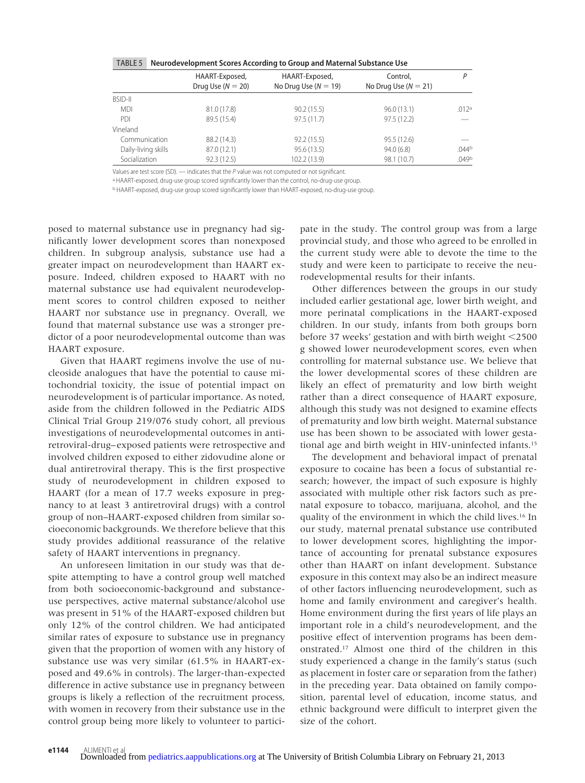|  |  |  | TABLE 5 Neurodevelopment Scores According to Group and Maternal Substance Use |
|--|--|--|-------------------------------------------------------------------------------|
|--|--|--|-------------------------------------------------------------------------------|

|                     | HAART-Exposed,<br>Drug Use $(N = 20)$ | HAART-Exposed,<br>No Drug Use $(N = 19)$ | Control,<br>No Drug Use $(N = 21)$ | P                 |
|---------------------|---------------------------------------|------------------------------------------|------------------------------------|-------------------|
| BSID-II             |                                       |                                          |                                    |                   |
| <b>MDI</b>          | 81.0 (17.8)                           | 90.2(15.5)                               | 96.0(13.1)                         | .012a             |
| PDI                 | 89.5 (15.4)                           | 97.5(11.7)                               | 97.5(12.2)                         |                   |
| Vineland            |                                       |                                          |                                    |                   |
| Communication       | 88.2 (14.3)                           | 92.2(15.5)                               | 95.5(12.6)                         |                   |
| Daily-living skills | 87.0 (12.1)                           | 95.6(13.5)                               | 94.0(6.8)                          | .044 <sup>b</sup> |
| Socialization       | 92.3(12.5)                            | 102.2 (13.9)                             | 98.1 (10.7)                        | .049 <sup>b</sup> |
|                     |                                       |                                          |                                    |                   |

Values are test score (SD). — indicates that the P value was not computed or not significant.

a HAART-exposed, drug-use group scored significantly lower than the control, no-drug-use group.

b HAART-exposed, drug-use group scored significantly lower than HAART-exposed, no-drug-use group.

posed to maternal substance use in pregnancy had significantly lower development scores than nonexposed children. In subgroup analysis, substance use had a greater impact on neurodevelopment than HAART exposure. Indeed, children exposed to HAART with no maternal substance use had equivalent neurodevelopment scores to control children exposed to neither HAART nor substance use in pregnancy. Overall, we found that maternal substance use was a stronger predictor of a poor neurodevelopmental outcome than was HAART exposure.

Given that HAART regimens involve the use of nucleoside analogues that have the potential to cause mitochondrial toxicity, the issue of potential impact on neurodevelopment is of particular importance. As noted, aside from the children followed in the Pediatric AIDS Clinical Trial Group 219/076 study cohort, all previous investigations of neurodevelopmental outcomes in antiretroviral-drug–exposed patients were retrospective and involved children exposed to either zidovudine alone or dual antiretroviral therapy. This is the first prospective study of neurodevelopment in children exposed to HAART (for a mean of 17.7 weeks exposure in pregnancy to at least 3 antiretroviral drugs) with a control group of non–HAART-exposed children from similar socioeconomic backgrounds. We therefore believe that this study provides additional reassurance of the relative safety of HAART interventions in pregnancy.

An unforeseen limitation in our study was that despite attempting to have a control group well matched from both socioeconomic-background and substanceuse perspectives, active maternal substance/alcohol use was present in 51% of the HAART-exposed children but only 12% of the control children. We had anticipated similar rates of exposure to substance use in pregnancy given that the proportion of women with any history of substance use was very similar (61.5% in HAART-exposed and 49.6% in controls). The larger-than-expected difference in active substance use in pregnancy between groups is likely a reflection of the recruitment process, with women in recovery from their substance use in the control group being more likely to volunteer to participate in the study. The control group was from a large provincial study, and those who agreed to be enrolled in the current study were able to devote the time to the study and were keen to participate to receive the neurodevelopmental results for their infants.

Other differences between the groups in our study included earlier gestational age, lower birth weight, and more perinatal complications in the HAART-exposed children. In our study, infants from both groups born before 37 weeks' gestation and with birth weight <2500 g showed lower neurodevelopment scores, even when controlling for maternal substance use. We believe that the lower developmental scores of these children are likely an effect of prematurity and low birth weight rather than a direct consequence of HAART exposure, although this study was not designed to examine effects of prematurity and low birth weight. Maternal substance use has been shown to be associated with lower gestational age and birth weight in HIV-uninfected infants.15

The development and behavioral impact of prenatal exposure to cocaine has been a focus of substantial research; however, the impact of such exposure is highly associated with multiple other risk factors such as prenatal exposure to tobacco, marijuana, alcohol, and the quality of the environment in which the child lives.<sup>16</sup> In our study, maternal prenatal substance use contributed to lower development scores, highlighting the importance of accounting for prenatal substance exposures other than HAART on infant development. Substance exposure in this context may also be an indirect measure of other factors influencing neurodevelopment, such as home and family environment and caregiver's health. Home environment during the first years of life plays an important role in a child's neurodevelopment, and the positive effect of intervention programs has been demonstrated.17 Almost one third of the children in this study experienced a change in the family's status (such as placement in foster care or separation from the father) in the preceding year. Data obtained on family composition, parental level of education, income status, and ethnic background were difficult to interpret given the size of the cohort.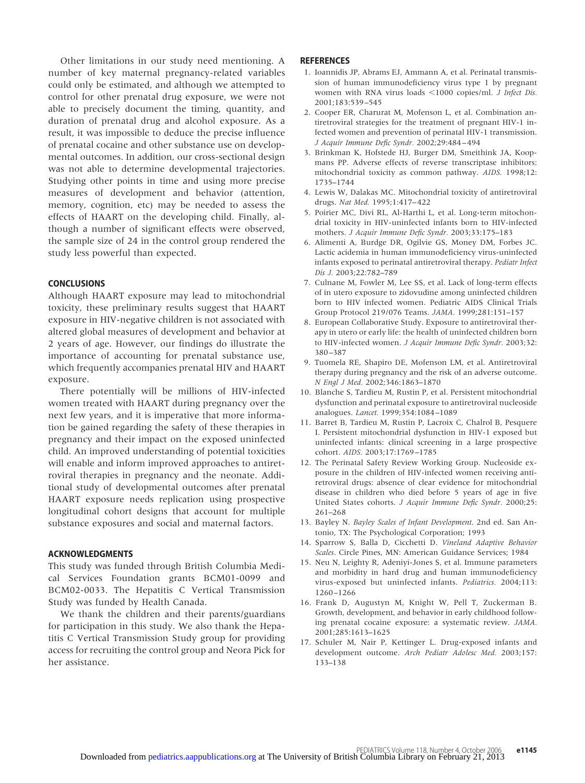Other limitations in our study need mentioning. A number of key maternal pregnancy-related variables could only be estimated, and although we attempted to control for other prenatal drug exposure, we were not able to precisely document the timing, quantity, and duration of prenatal drug and alcohol exposure. As a result, it was impossible to deduce the precise influence of prenatal cocaine and other substance use on developmental outcomes. In addition, our cross-sectional design was not able to determine developmental trajectories. Studying other points in time and using more precise measures of development and behavior (attention, memory, cognition, etc) may be needed to assess the effects of HAART on the developing child. Finally, although a number of significant effects were observed, the sample size of 24 in the control group rendered the study less powerful than expected.

#### **CONCLUSIONS**

Although HAART exposure may lead to mitochondrial toxicity, these preliminary results suggest that HAART exposure in HIV-negative children is not associated with altered global measures of development and behavior at 2 years of age. However, our findings do illustrate the importance of accounting for prenatal substance use, which frequently accompanies prenatal HIV and HAART exposure.

There potentially will be millions of HIV-infected women treated with HAART during pregnancy over the next few years, and it is imperative that more information be gained regarding the safety of these therapies in pregnancy and their impact on the exposed uninfected child. An improved understanding of potential toxicities will enable and inform improved approaches to antiretroviral therapies in pregnancy and the neonate. Additional study of developmental outcomes after prenatal HAART exposure needs replication using prospective longitudinal cohort designs that account for multiple substance exposures and social and maternal factors.

#### **ACKNOWLEDGMENTS**

This study was funded through British Columbia Medical Services Foundation grants BCM01-0099 and BCM02-0033. The Hepatitis C Vertical Transmission Study was funded by Health Canada.

We thank the children and their parents/guardians for participation in this study. We also thank the Hepatitis C Vertical Transmission Study group for providing access for recruiting the control group and Neora Pick for her assistance.

#### **REFERENCES**

- 1. Ioannidis JP, Abrams EJ, Ammann A, et al. Perinatal transmission of human immunodeficiency virus type 1 by pregnant women with RNA virus loads <1000 copies/ml. *J Infect Dis.* 2001;183:539–545
- 2. Cooper ER, Charurat M, Mofenson L, et al. Combination antiretroviral strategies for the treatment of pregnant HIV-1 infected women and prevention of perinatal HIV-1 transmission. *J Acquir Immune Defic Syndr.* 2002;29:484–494
- 3. Brinkman K, Hofstede HJ, Burger DM, Smeithink JA, Koopmans PP. Adverse effects of reverse transcriptase inhibitors: mitochondrial toxicity as common pathway. *AIDS.* 1998;12: 1735–1744
- 4. Lewis W, Dalakas MC. Mitochondrial toxicity of antiretroviral drugs. *Nat Med.* 1995;1:417–422
- 5. Poirier MC, Divi RL, Al-Harthi L, et al. Long-term mitochondrial toxicity in HIV-uninfected infants born to HIV-infected mothers. *J Acquir Immune Defic Syndr.* 2003;33:175–183
- 6. Alimenti A, Burdge DR, Ogilvie GS, Money DM, Forbes JC. Lactic acidemia in human immunodeficiency virus-uninfected infants exposed to perinatal antiretroviral therapy. *Pediatr Infect Dis J.* 2003;22:782–789
- 7. Culnane M, Fowler M, Lee SS, et al. Lack of long-term effects of in utero exposure to zidovudine among uninfected children born to HIV infected women. Pediatric AIDS Clinical Trials Group Protocol 219/076 Teams. *JAMA.* 1999;281:151–157
- 8. European Collaborative Study. Exposure to antiretroviral therapy in utero or early life: the health of uninfected children born to HIV-infected women. *J Acquir Immune Defic Syndr.* 2003;32: 380–387
- 9. Tuomela RE, Shapiro DE, Mofenson LM, et al. Antiretroviral therapy during pregnancy and the risk of an adverse outcome. *N Engl J Med.* 2002;346:1863–1870
- 10. Blanche S, Tardieu M, Rustin P, et al. Persistent mitochondrial dysfunction and perinatal exposure to antiretroviral nucleoside analogues. *Lancet.* 1999;354:1084–1089
- 11. Barret B, Tardieu M, Rustin P, Lacroix C, Chalrol B, Pesquere I. Persistent mitochondrial dysfunction in HIV-1 exposed but uninfected infants: clinical screening in a large prospective cohort. *AIDS.* 2003;17:1769–1785
- 12. The Perinatal Safety Review Working Group. Nucleoside exposure in the children of HIV-infected women receiving antiretroviral drugs: absence of clear evidence for mitochondrial disease in children who died before 5 years of age in five United States cohorts. *J Acquir Immune Defic Syndr.* 2000;25: 261–268
- 13. Bayley N. *Bayley Scales of Infant Development*. 2nd ed. San Antonio, TX: The Psychological Corporation; 1993
- 14. Sparrow S, Balla D, Cicchetti D. *Vineland Adaptive Behavior Scales*. Circle Pines, MN: American Guidance Services; 1984
- 15. Neu N, Leighty R, Adeniyi-Jones S, et al. Immune parameters and morbidity in hard drug and human immunodeficiency virus-exposed but uninfected infants. *Pediatrics.* 2004;113: 1260–1266
- 16. Frank D, Augustyn M, Knight W, Pell T, Zuckerman B. Growth, development, and behavior in early childhood following prenatal cocaine exposure: a systematic review. *JAMA.* 2001;285:1613–1625
- 17. Schuler M, Nair P, Kettinger L. Drug-exposed infants and development outcome. *Arch Pediatr Adolesc Med.* 2003;157: 133–138